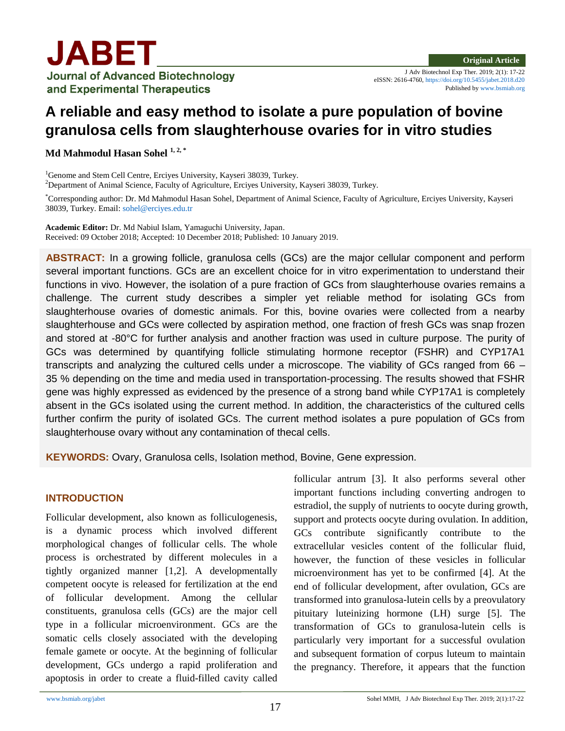

# **A reliable and easy method to isolate a pure population of bovine granulosa cells from slaughterhouse ovaries for in vitro studies**

**Md Mahmodul Hasan Sohel 1, 2, \***

<sup>1</sup>Genome and Stem Cell Centre, Ercives University, Kayseri 38039, Turkey. <sup>2</sup>Department of Animal Science, Faculty of Agriculture, Erciyes University, Kayseri 38039, Turkey.

\*Corresponding author: Dr. Md Mahmodul Hasan Sohel, Department of Animal Science, Faculty of Agriculture, Erciyes University, Kayseri 38039, Turkey. Email: [sohel@erciyes.edu.tr](mailto:sohel@erciyes.edu.tr)

**Academic Editor:** Dr. Md Nabiul Islam, Yamaguchi University, Japan. Received: 09 October 2018; Accepted: 10 December 2018; Published: 10 January 2019.

**ABSTRACT:** In a growing follicle, granulosa cells (GCs) are the major cellular component and perform several important functions. GCs are an excellent choice for in vitro experimentation to understand their functions in vivo. However, the isolation of a pure fraction of GCs from slaughterhouse ovaries remains a challenge. The current study describes a simpler yet reliable method for isolating GCs from slaughterhouse ovaries of domestic animals. For this, bovine ovaries were collected from a nearby slaughterhouse and GCs were collected by aspiration method, one fraction of fresh GCs was snap frozen and stored at -80°C for further analysis and another fraction was used in culture purpose. The purity of GCs was determined by quantifying follicle stimulating hormone receptor (FSHR) and CYP17A1 transcripts and analyzing the cultured cells under a microscope. The viability of GCs ranged from 66 – 35 % depending on the time and media used in transportation-processing. The results showed that FSHR gene was highly expressed as evidenced by the presence of a strong band while CYP17A1 is completely absent in the GCs isolated using the current method. In addition, the characteristics of the cultured cells further confirm the purity of isolated GCs. The current method isolates a pure population of GCs from slaughterhouse ovary without any contamination of thecal cells.

**KEYWORDS:** Ovary, Granulosa cells, Isolation method, Bovine, Gene expression.

## **INTRODUCTION**

Follicular development, also known as folliculogenesis, is a dynamic process which involved different morphological changes of follicular cells. The whole process is orchestrated by different molecules in a tightly organized manner [1,2]. A developmentally competent oocyte is released for fertilization at the end of follicular development. Among the cellular constituents, granulosa cells (GCs) are the major cell type in a follicular microenvironment. GCs are the somatic cells closely associated with the developing female gamete or oocyte. At the beginning of follicular development, GCs undergo a rapid proliferation and apoptosis in order to create a fluid-filled cavity called follicular antrum [3]. It also performs several other important functions including converting androgen to estradiol, the supply of nutrients to oocyte during growth, support and protects oocyte during ovulation. In addition, GCs contribute significantly contribute to the extracellular vesicles content of the follicular fluid, however, the function of these vesicles in follicular microenvironment has yet to be confirmed [4]. At the end of follicular development, after ovulation, GCs are transformed into granulosa-lutein cells by a preovulatory pituitary luteinizing hormone (LH) surge [5]. The transformation of GCs to granulosa-lutein cells is particularly very important for a successful ovulation and subsequent formation of corpus luteum to maintain the pregnancy. Therefore, it appears that the function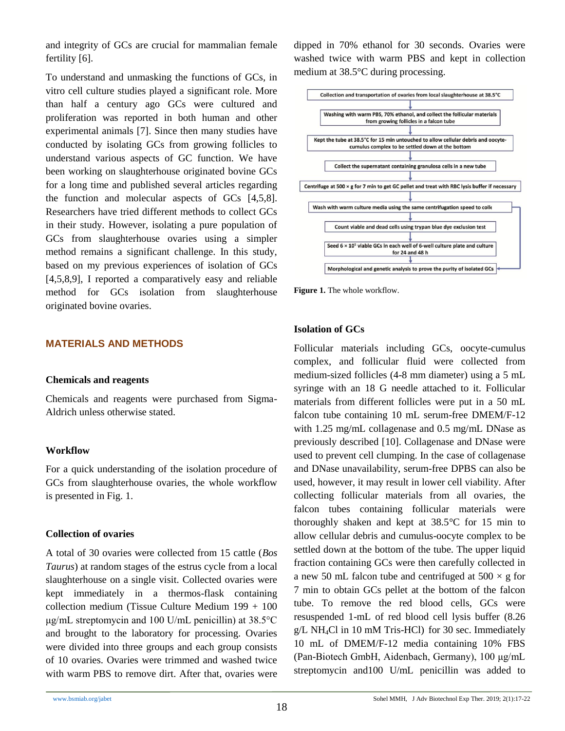and integrity of GCs are crucial for mammalian female fertility [6].

To understand and unmasking the functions of GCs, in vitro cell culture studies played a significant role. More than half a century ago GCs were cultured and proliferation was reported in both human and other experimental animals [7]. Since then many studies have conducted by isolating GCs from growing follicles to understand various aspects of GC function. We have been working on slaughterhouse originated bovine GCs for a long time and published several articles regarding the function and molecular aspects of GCs [4,5,8]. Researchers have tried different methods to collect GCs in their study. However, isolating a pure population of GCs from slaughterhouse ovaries using a simpler method remains a significant challenge. In this study, based on my previous experiences of isolation of GCs [4,5,8,9], I reported a comparatively easy and reliable method for GCs isolation from slaughterhouse originated bovine ovaries.

#### **MATERIALS AND METHODS**

#### **Chemicals and reagents**

Chemicals and reagents were purchased from Sigma-Aldrich unless otherwise stated.

#### **Workflow**

For a quick understanding of the isolation procedure of GCs from slaughterhouse ovaries, the whole workflow is presented in Fig. 1.

## **Collection of ovaries**

A total of 30 ovaries were collected from 15 cattle (*Bos Taurus*) at random stages of the estrus cycle from a local slaughterhouse on a single visit. Collected ovaries were kept immediately in a thermos-flask containing collection medium (Tissue Culture Medium 199 + 100 μg/mL streptomycin and 100 U/mL penicillin) at 38.5°C and brought to the laboratory for processing. Ovaries were divided into three groups and each group consists of 10 ovaries. Ovaries were trimmed and washed twice with warm PBS to remove dirt. After that, ovaries were dipped in 70% ethanol for 30 seconds. Ovaries were washed twice with warm PBS and kept in collection medium at 38.5°C during processing.



Figure 1. The whole workflow.

#### **Isolation of GCs**

Follicular materials including GCs, oocyte-cumulus complex, and follicular fluid were collected from medium-sized follicles (4-8 mm diameter) using a 5 mL syringe with an 18 G needle attached to it. Follicular materials from different follicles were put in a 50 mL falcon tube containing 10 mL serum-free DMEM/F-12 with 1.25 mg/mL collagenase and 0.5 mg/mL DNase as previously described [10]. Collagenase and DNase were used to prevent cell clumping. In the case of collagenase and DNase unavailability, serum-free DPBS can also be used, however, it may result in lower cell viability. After collecting follicular materials from all ovaries, the falcon tubes containing follicular materials were thoroughly shaken and kept at 38.5°C for 15 min to allow cellular debris and cumulus-oocyte complex to be settled down at the bottom of the tube. The upper liquid fraction containing GCs were then carefully collected in a new 50 mL falcon tube and centrifuged at  $500 \times g$  for 7 min to obtain GCs pellet at the bottom of the falcon tube. To remove the red blood cells, GCs were resuspended 1-mL of red blood cell lysis buffer (8.26 g/L NH4Cl in 10 mM Tris-HCl) for 30 sec. Immediately 10 mL of DMEM/F-12 media containing 10% FBS (Pan-Biotech GmbH, Aidenbach, Germany), 100 μg/mL streptomycin and100 U/mL penicillin was added to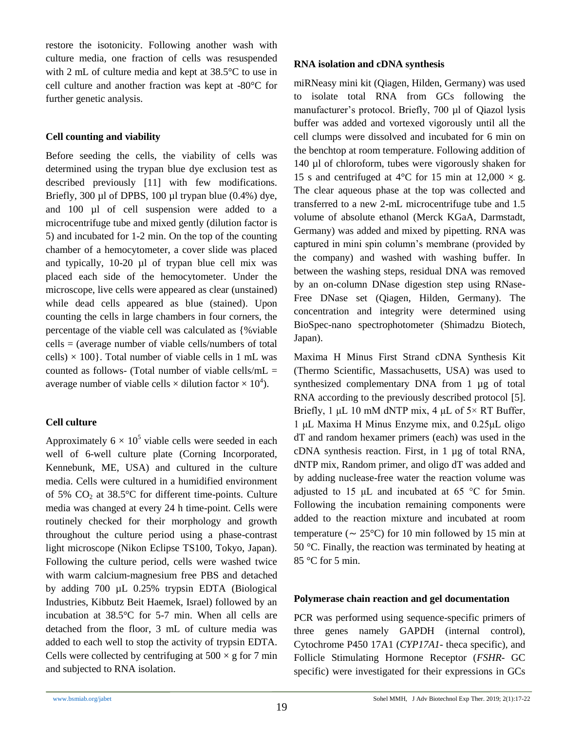restore the isotonicity. Following another wash with culture media, one fraction of cells was resuspended with 2 mL of culture media and kept at 38.5°C to use in cell culture and another fraction was kept at -80°C for further genetic analysis.

#### **Cell counting and viability**

Before seeding the cells, the viability of cells was determined using the trypan blue dye exclusion test as described previously [11] with few modifications. Briefly, 300 µl of DPBS, 100 µl trypan blue (0.4%) dye, and 100 µl of cell suspension were added to a microcentrifuge tube and mixed gently (dilution factor is 5) and incubated for 1-2 min. On the top of the counting chamber of a hemocytometer, a cover slide was placed and typically, 10-20 µl of trypan blue cell mix was placed each side of the hemocytometer. Under the microscope, live cells were appeared as clear (unstained) while dead cells appeared as blue (stained). Upon counting the cells in large chambers in four corners, the percentage of the viable cell was calculated as {%viable  $cells = (average number of viable cells/numbers of total)$ cells)  $\times$  100}. Total number of viable cells in 1 mL was counted as follows- (Total number of viable cells/ $mL =$ average number of viable cells  $\times$  dilution factor  $\times 10^4$ ).

## **Cell culture**

Approximately  $6 \times 10^5$  viable cells were seeded in each well of 6-well culture plate (Corning Incorporated, Kennebunk, ME, USA) and cultured in the culture media. Cells were cultured in a humidified environment of 5%  $CO<sub>2</sub>$  at 38.5°C for different time-points. Culture media was changed at every 24 h time-point. Cells were routinely checked for their morphology and growth throughout the culture period using a phase-contrast light microscope (Nikon Eclipse TS100, Tokyo, Japan). Following the culture period, cells were washed twice with warm calcium-magnesium free PBS and detached by adding 700 µL 0.25% trypsin EDTA (Biological Industries, Kibbutz Beit Haemek, Israel) followed by an incubation at 38.5°C for 5-7 min. When all cells are detached from the floor, 3 mL of culture media was added to each well to stop the activity of trypsin EDTA. Cells were collected by centrifuging at  $500 \times g$  for 7 min and subjected to RNA isolation.

# **RNA isolation and cDNA synthesis**

miRNeasy mini kit (Qiagen, Hilden, Germany) was used to isolate total RNA from GCs following the manufacturer's protocol. Briefly, 700 µl of Qiazol lysis buffer was added and vortexed vigorously until all the cell clumps were dissolved and incubated for 6 min on the benchtop at room temperature. Following addition of 140 µl of chloroform, tubes were vigorously shaken for 15 s and centrifuged at 4 $\degree$ C for 15 min at 12,000  $\times$  g. The clear aqueous phase at the top was collected and transferred to a new 2-mL microcentrifuge tube and 1.5 volume of absolute ethanol (Merck KGaA, Darmstadt, Germany) was added and mixed by pipetting. RNA was captured in mini spin column's membrane (provided by the company) and washed with washing buffer. In between the washing steps, residual DNA was removed by an on-column DNase digestion step using RNase-Free DNase set (Qiagen, Hilden, Germany). The concentration and integrity were determined using BioSpec-nano spectrophotometer (Shimadzu Biotech, Japan).

Maxima H Minus First Strand cDNA Synthesis Kit (Thermo Scientific, Massachusetts, USA) was used to synthesized complementary DNA from 1 µg of total RNA according to the previously described protocol [5]. Briefly, 1 μL 10 mM dNTP mix, 4 μL of  $5\times$  RT Buffer, 1 μL Maxima H Minus Enzyme mix, and 0.25μL oligo dT and random hexamer primers (each) was used in the cDNA synthesis reaction. First, in 1 µg of total RNA, dNTP mix, Random primer, and oligo dT was added and by adding nuclease-free water the reaction volume was adjusted to 15 μL and incubated at 65 °C for 5min. Following the incubation remaining components were added to the reaction mixture and incubated at room temperature ( $\sim 25^{\circ}$ C) for 10 min followed by 15 min at 50 °C. Finally, the reaction was terminated by heating at  $85^{\circ}$ C for 5 min.

## **Polymerase chain reaction and gel documentation**

PCR was performed using sequence-specific primers of three genes namely GAPDH (internal control), Cytochrome P450 17A1 (*CYP17A1*- theca specific), and Follicle Stimulating Hormone Receptor (*FSHR*- GC specific) were investigated for their expressions in GCs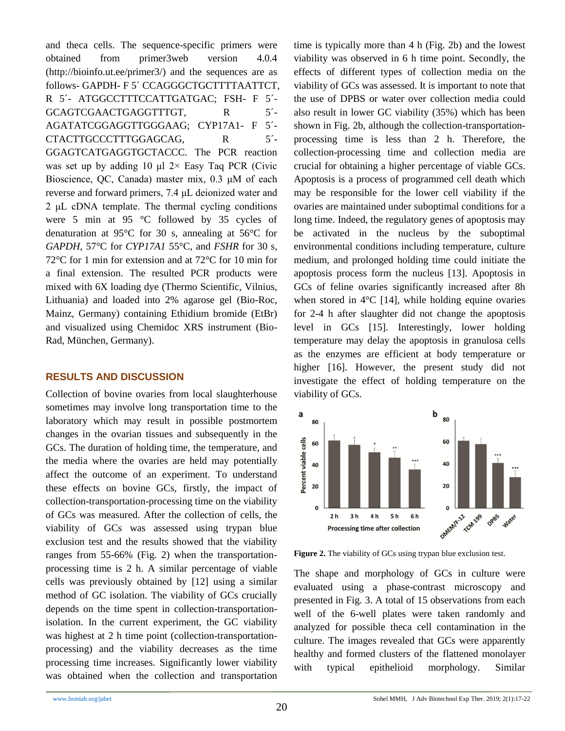and theca cells. The sequence-specific primers were obtained from primer3web version 4.0.4 (http://bioinfo.ut.ee/primer3/) and the sequences are as follows- GAPDH- F 5' CCAGGGCTGCTTTTAATTCT, R 5´- ATGGCCTTTCCATTGATGAC; FSH- F 5´- GCAGTCGAACTGAGGTTTGT, R 5<sup>2</sup>-AGATATCGGAGGTTGGGAAG; CYP17A1- F 5´- CTACTTGCCCTTTGGAGCAG, R
S<sup>2</sup>-GGAGTCATGAGGTGCTACCC. The PCR reaction was set up by adding 10 μl  $2 \times$  Easy Taq PCR (Civic Bioscience, QC, Canada) master mix, 0.3 μM of each reverse and forward primers, 7.4 μL deionized water and 2 μL cDNA template. The thermal cycling conditions were 5 min at 95 °C followed by 35 cycles of denaturation at 95°C for 30 s, annealing at 56°C for *GAPDH*, 57°C for *CYP17A1* 55°C, and *FSHR* for 30 s, 72°C for 1 min for extension and at 72°C for 10 min for a final extension. The resulted PCR products were mixed with 6X loading dye (Thermo Scientific, Vilnius, Lithuania) and loaded into 2% agarose gel (Bio-Roc, Mainz, Germany) containing Ethidium bromide (EtBr) and visualized using Chemidoc XRS instrument (Bio-Rad, München, Germany).

#### **RESULTS AND DISCUSSION**

Collection of bovine ovaries from local slaughterhouse sometimes may involve long transportation time to the laboratory which may result in possible postmortem changes in the ovarian tissues and subsequently in the GCs. The duration of holding time, the temperature, and the media where the ovaries are held may potentially affect the outcome of an experiment. To understand these effects on bovine GCs, firstly, the impact of collection-transportation-processing time on the viability of GCs was measured. After the collection of cells, the viability of GCs was assessed using trypan blue exclusion test and the results showed that the viability ranges from 55-66% (Fig. 2) when the transportationprocessing time is 2 h. A similar percentage of viable cells was previously obtained by [12] using a similar method of GC isolation. The viability of GCs crucially depends on the time spent in collection-transportationisolation. In the current experiment, the GC viability was highest at 2 h time point (collection-transportationprocessing) and the viability decreases as the time processing time increases. Significantly lower viability was obtained when the collection and transportation time is typically more than 4 h (Fig. 2b) and the lowest viability was observed in 6 h time point. Secondly, the effects of different types of collection media on the viability of GCs was assessed. It is important to note that the use of DPBS or water over collection media could also result in lower GC viability (35%) which has been shown in Fig. 2b, although the collection-transportationprocessing time is less than 2 h. Therefore, the collection-processing time and collection media are crucial for obtaining a higher percentage of viable GCs. Apoptosis is a process of programmed cell death which may be responsible for the lower cell viability if the ovaries are maintained under suboptimal conditions for a long time. Indeed, the regulatory genes of apoptosis may be activated in the nucleus by the suboptimal environmental conditions including temperature, culture medium, and prolonged holding time could initiate the apoptosis process form the nucleus [13]. Apoptosis in GCs of feline ovaries significantly increased after 8h when stored in  $4^{\circ}$ C [14], while holding equine ovaries for 2-4 h after slaughter did not change the apoptosis level in GCs [15]. Interestingly, lower holding temperature may delay the apoptosis in granulosa cells as the enzymes are efficient at body temperature or higher [16]. However, the present study did not investigate the effect of holding temperature on the viability of GCs.



**Figure 2.** The viability of GCs using trypan blue exclusion test.

The shape and morphology of GCs in culture were evaluated using a phase-contrast microscopy and presented in Fig. 3. A total of 15 observations from each well of the 6-well plates were taken randomly and analyzed for possible theca cell contamination in the culture. The images revealed that GCs were apparently healthy and formed clusters of the flattened monolayer with typical epithelioid morphology. Similar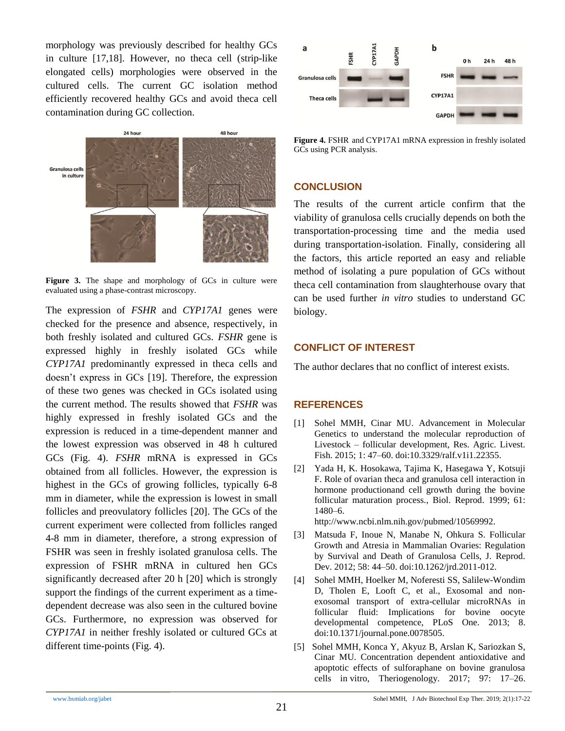morphology was previously described for healthy GCs in culture [17,18]. However, no theca cell (strip-like elongated cells) morphologies were observed in the cultured cells. The current GC isolation method efficiently recovered healthy GCs and avoid theca cell contamination during GC collection.



Figure 3. The shape and morphology of GCs in culture were evaluated using a phase-contrast microscopy.

The expression of *FSHR* and *CYP17A1* genes were checked for the presence and absence, respectively, in both freshly isolated and cultured GCs. *FSHR* gene is expressed highly in freshly isolated GCs while *CYP17A1* predominantly expressed in theca cells and doesn't express in GCs [19]. Therefore, the expression of these two genes was checked in GCs isolated using the current method. The results showed that *FSHR* was highly expressed in freshly isolated GCs and the expression is reduced in a time-dependent manner and the lowest expression was observed in 48 h cultured GCs (Fig. 4). *FSHR* mRNA is expressed in GCs obtained from all follicles. However, the expression is highest in the GCs of growing follicles, typically 6-8 mm in diameter, while the expression is lowest in small follicles and preovulatory follicles [20]. The GCs of the current experiment were collected from follicles ranged 4-8 mm in diameter, therefore, a strong expression of FSHR was seen in freshly isolated granulosa cells. The expression of FSHR mRNA in cultured hen GCs significantly decreased after 20 h [20] which is strongly support the findings of the current experiment as a timedependent decrease was also seen in the cultured bovine GCs. Furthermore, no expression was observed for *CYP17A1* in neither freshly isolated or cultured GCs at different time-points (Fig. 4).



**Figure 4.** FSHR and CYP17A1 mRNA expression in freshly isolated GCs using PCR analysis.

#### **CONCLUSION**

The results of the current article confirm that the viability of granulosa cells crucially depends on both the transportation-processing time and the media used during transportation-isolation. Finally, considering all the factors, this article reported an easy and reliable method of isolating a pure population of GCs without theca cell contamination from slaughterhouse ovary that can be used further *in vitro* studies to understand GC biology.

#### **CONFLICT OF INTEREST**

The author declares that no conflict of interest exists.

#### **REFERENCES**

- [1] Sohel MMH, Cinar MU. Advancement in Molecular Genetics to understand the molecular reproduction of Livestock – follicular development, Res. Agric. Livest. Fish. 2015; 1: 47–60. doi:10.3329/ralf.v1i1.22355.
- [2] Yada H, K. Hosokawa, Tajima K, Hasegawa Y, Kotsuji F. Role of ovarian theca and granulosa cell interaction in hormone productionand cell growth during the bovine follicular maturation process., Biol. Reprod. 1999; 61: 1480–6.

http://www.ncbi.nlm.nih.gov/pubmed/10569992.

- [3] Matsuda F, Inoue N, Manabe N, Ohkura S. Follicular Growth and Atresia in Mammalian Ovaries: Regulation by Survival and Death of Granulosa Cells, J. Reprod. Dev. 2012; 58: 44–50. doi:10.1262/jrd.2011-012.
- [4] Sohel MMH, Hoelker M, Noferesti SS, Salilew-Wondim D, Tholen E, Looft C, et al., Exosomal and nonexosomal transport of extra-cellular microRNAs in follicular fluid: Implications for bovine oocyte developmental competence, PLoS One. 2013; 8. doi:10.1371/journal.pone.0078505.
- [5] Sohel MMH, Konca Y, Akyuz B, Arslan K, Sariozkan S, Cinar MU. Concentration dependent antioxidative and apoptotic effects of sulforaphane on bovine granulosa cells in vitro, Theriogenology. 2017; 97: 17–26.